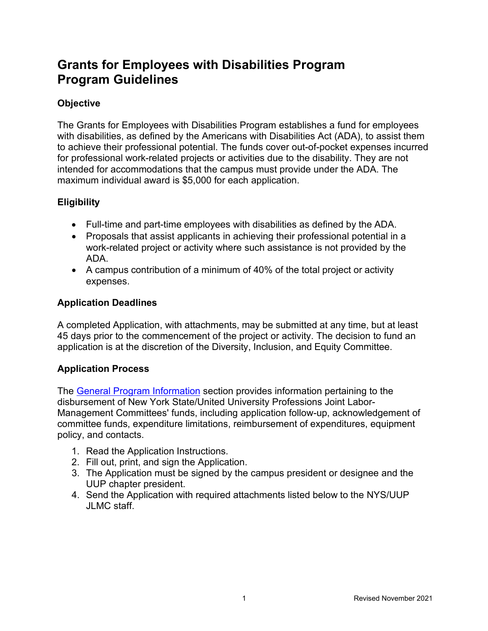# **Grants for Employees with Disabilities Program Program Guidelines**

#### **Objective**

The Grants for Employees with Disabilities Program establishes a fund for employees with disabilities, as defined by the Americans with Disabilities Act (ADA), to assist them to achieve their professional potential. The funds cover out-of-pocket expenses incurred for professional work-related projects or activities due to the disability. They are not intended for accommodations that the campus must provide under the ADA. The maximum individual award is \$5,000 for each application.

## **Eligibility**

- Full-time and part-time employees with disabilities as defined by the ADA.
- Proposals that assist applicants in achieving their professional potential in a work-related project or activity where such assistance is not provided by the ADA.
- A campus contribution of a minimum of 40% of the total project or activity expenses.

## **Application Deadlines**

A completed Application, with attachments, may be submitted at any time, but at least 45 days prior to the commencement of the project or activity. The decision to fund an application is at the discretion of the Diversity, Inclusion, and Equity Committee.

## **Application Process**

The [General Program Information](https://oer.ny.gov/general-program-information) section provides information pertaining to the disbursement of New York State/United University Professions Joint Labor-Management Committees' funds, including application follow-up, acknowledgement of committee funds, expenditure limitations, reimbursement of expenditures, equipment policy, and contacts.

- 1. Read the Application Instructions.
- 2. Fill out, print, and sign the Application.
- 3. The Application must be signed by the campus president or designee and the UUP chapter president.
- 4. Send the Application with required attachments listed below to the NYS/UUP JLMC staff.